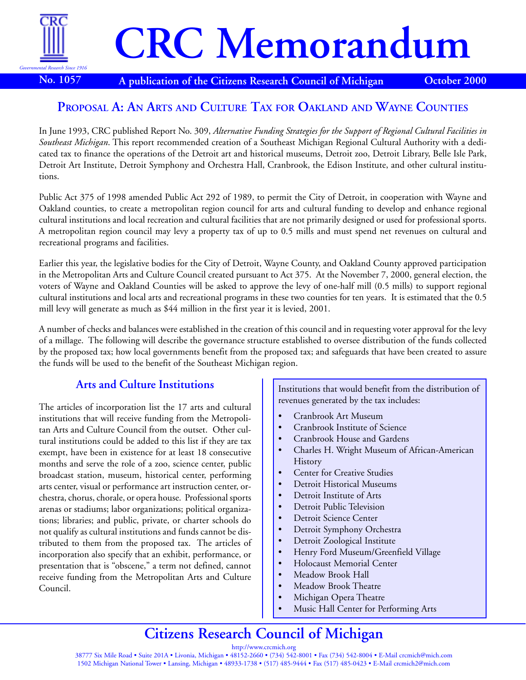

# **CRC Memorandum**

**No. 1057 A publication of the Citizens Research Council of Michigan October 2000**

### **PROPOSAL A: AN ARTS AND CULTURE TAX FOR OAKLAND AND WAYNE COUNTIES**

In June 1993, CRC published Report No. 309, *Alternative Funding Strategies for the Support of Regional Cultural Facilities in Southeast Michigan*. This report recommended creation of a Southeast Michigan Regional Cultural Authority with a dedicated tax to finance the operations of the Detroit art and historical museums, Detroit zoo, Detroit Library, Belle Isle Park, Detroit Art Institute, Detroit Symphony and Orchestra Hall, Cranbrook, the Edison Institute, and other cultural institutions.

Public Act 375 of 1998 amended Public Act 292 of 1989, to permit the City of Detroit, in cooperation with Wayne and Oakland counties, to create a metropolitan region council for arts and cultural funding to develop and enhance regional cultural institutions and local recreation and cultural facilities that are not primarily designed or used for professional sports. A metropolitan region council may levy a property tax of up to 0.5 mills and must spend net revenues on cultural and recreational programs and facilities.

Earlier this year, the legislative bodies for the City of Detroit, Wayne County, and Oakland County approved participation in the Metropolitan Arts and Culture Council created pursuant to Act 375. At the November 7, 2000, general election, the voters of Wayne and Oakland Counties will be asked to approve the levy of one-half mill (0.5 mills) to support regional cultural institutions and local arts and recreational programs in these two counties for ten years. It is estimated that the 0.5 mill levy will generate as much as \$44 million in the first year it is levied, 2001.

A number of checks and balances were established in the creation of this council and in requesting voter approval for the levy of a millage. The following will describe the governance structure established to oversee distribution of the funds collected by the proposed tax; how local governments benefit from the proposed tax; and safeguards that have been created to assure the funds will be used to the benefit of the Southeast Michigan region.

#### **Arts and Culture Institutions**

The articles of incorporation list the 17 arts and cultural institutions that will receive funding from the Metropolitan Arts and Culture Council from the outset. Other cultural institutions could be added to this list if they are tax exempt, have been in existence for at least 18 consecutive months and serve the role of a zoo, science center, public broadcast station, museum, historical center, performing arts center, visual or performance art instruction center, orchestra, chorus, chorale, or opera house. Professional sports arenas or stadiums; labor organizations; political organizations; libraries; and public, private, or charter schools do not qualify as cultural institutions and funds cannot be distributed to them from the proposed tax. The articles of incorporation also specify that an exhibit, performance, or presentation that is "obscene," a term not defined, cannot receive funding from the Metropolitan Arts and Culture Council.

Institutions that would benefit from the distribution of revenues generated by the tax includes:

- Cranbrook Art Museum
- Cranbrook Institute of Science
- Cranbrook House and Gardens
- Charles H. Wright Museum of African-American History
- **Center for Creative Studies**
- Detroit Historical Museums
- Detroit Institute of Arts
- Detroit Public Television
- Detroit Science Center
- Detroit Symphony Orchestra
- Detroit Zoological Institute
- Henry Ford Museum/Greenfield Village
- Holocaust Memorial Center
- Meadow Brook Hall
- Meadow Brook Theatre
- Michigan Opera Theatre
- Music Hall Center for Performing Arts

## **Citizens Research Council of Michigan**

http://www.crcmich.org 38777 Six Mile Road • Suite 201A • Livonia, Michigan • 48152-2660 • (734) 542-8001 • Fax (734) 542-8004 • E-Mail crcmich@mich.com 1502 Michigan National Tower • Lansing, Michigan • 48933-1738 • (517) 485-9444 • Fax (517) 485-0423 • E-Mail crcmich2@mich.com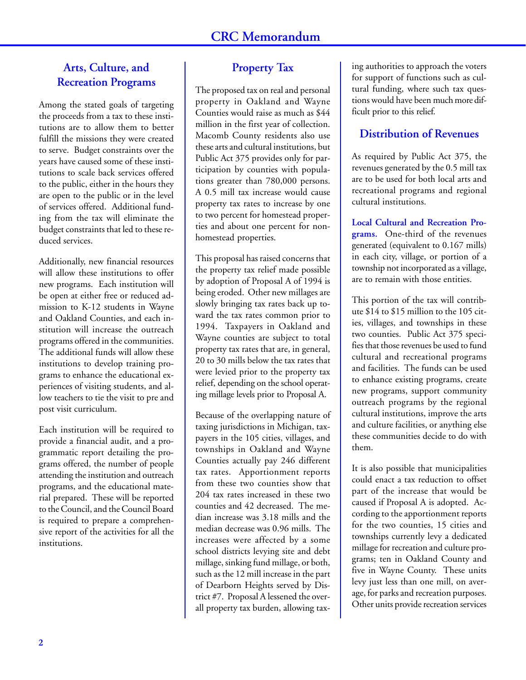#### **Arts, Culture, and Recreation Programs**

Among the stated goals of targeting the proceeds from a tax to these institutions are to allow them to better fulfill the missions they were created to serve. Budget constraints over the years have caused some of these institutions to scale back services offered to the public, either in the hours they are open to the public or in the level of services offered. Additional funding from the tax will eliminate the budget constraints that led to these reduced services.

Additionally, new financial resources will allow these institutions to offer new programs. Each institution will be open at either free or reduced admission to K-12 students in Wayne and Oakland Counties, and each institution will increase the outreach programs offered in the communities. The additional funds will allow these institutions to develop training programs to enhance the educational experiences of visiting students, and allow teachers to tie the visit to pre and post visit curriculum.

Each institution will be required to provide a financial audit, and a programmatic report detailing the programs offered, the number of people attending the institution and outreach programs, and the educational material prepared. These will be reported to the Council, and the Council Board is required to prepare a comprehensive report of the activities for all the institutions.

#### **Property Tax**

The proposed tax on real and personal property in Oakland and Wayne Counties would raise as much as \$44 million in the first year of collection. Macomb County residents also use these arts and cultural institutions, but Public Act 375 provides only for participation by counties with populations greater than 780,000 persons. A 0.5 mill tax increase would cause property tax rates to increase by one to two percent for homestead properties and about one percent for nonhomestead properties.

This proposal has raised concerns that the property tax relief made possible by adoption of Proposal A of 1994 is being eroded. Other new millages are slowly bringing tax rates back up toward the tax rates common prior to 1994. Taxpayers in Oakland and Wayne counties are subject to total property tax rates that are, in general, 20 to 30 mills below the tax rates that were levied prior to the property tax relief, depending on the school operating millage levels prior to Proposal A.

Because of the overlapping nature of taxing jurisdictions in Michigan, taxpayers in the 105 cities, villages, and townships in Oakland and Wayne Counties actually pay 246 different tax rates. Apportionment reports from these two counties show that 204 tax rates increased in these two counties and 42 decreased. The median increase was 3.18 mills and the median decrease was 0.96 mills. The increases were affected by a some school districts levying site and debt millage, sinking fund millage, or both, such as the 12 mill increase in the part of Dearborn Heights served by District #7. Proposal A lessened the overall property tax burden, allowing taxing authorities to approach the voters for support of functions such as cultural funding, where such tax questions would have been much more difficult prior to this relief.

#### **Distribution of Revenues**

As required by Public Act 375, the revenues generated by the 0.5 mill tax are to be used for both local arts and recreational programs and regional cultural institutions.

**Local Cultural and Recreation Programs.** One-third of the revenues generated (equivalent to 0.167 mills) in each city, village, or portion of a township not incorporated as a village, are to remain with those entities.

This portion of the tax will contribute \$14 to \$15 million to the 105 cities, villages, and townships in these two counties. Public Act 375 specifies that those revenues be used to fund cultural and recreational programs and facilities. The funds can be used to enhance existing programs, create new programs, support community outreach programs by the regional cultural institutions, improve the arts and culture facilities, or anything else these communities decide to do with them.

It is also possible that municipalities could enact a tax reduction to offset part of the increase that would be caused if Proposal A is adopted. According to the apportionment reports for the two counties, 15 cities and townships currently levy a dedicated millage for recreation and culture programs; ten in Oakland County and five in Wayne County. These units levy just less than one mill, on average, for parks and recreation purposes. Other units provide recreation services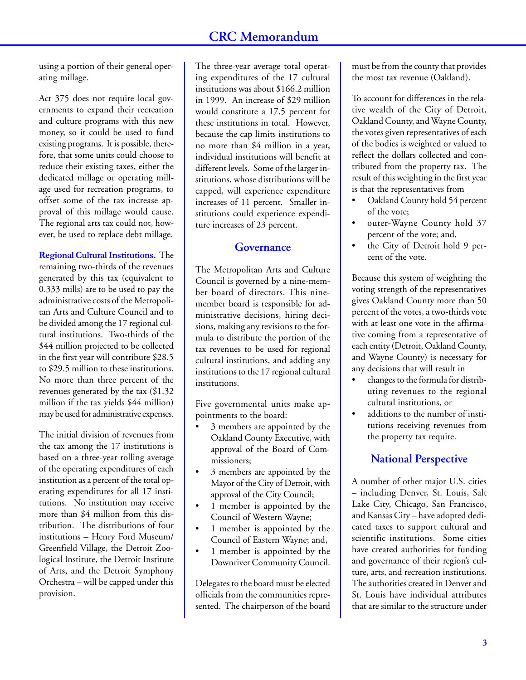using a portion of their general operating millage.

Act 375 does not require local governments to expand their recreation and culture programs with this new money, so it could be used to fund existing programs. It is possible, therefore, that some units could choose to reduce their existing taxes, either the dedicated millage or operating millage used for recreation programs, to offset some of the tax increase approval of this millage would cause. The regional arts tax could not, however, be used to replace debt millage.

**Regional Cultural Institutions.** The remaining two-thirds of the revenues generated by this tax (equivalent to 0.333 mills) are to be used to pay the administrative costs of the Metropolitan Arts and Culture Council and to be divided among the 17 regional cultural institutions. Two-thirds of the \$44 million projected to be collected in the first year will contribute \$28.5 to \$29.5 million to these institutions. No more than three percent of the revenues generated by the tax (\$1.32 million if the tax yields \$44 million) may be used for administrative expenses.

The initial division of revenues from the tax among the 17 institutions is based on a three-year rolling average of the operating expenditures of each institution as a percent of the total operating expenditures for all 17 institutions. No institution may receive more than \$4 million from this distribution. The distributions of four institutions – Henry Ford Museum/ Greenfield Village, the Detroit Zoological Institute, the Detroit Institute of Arts, and the Detroit Symphony Orchestra – will be capped under this provision.

The three-year average total operating expenditures of the 17 cultural institutions was about \$166.2 million in 1999. An increase of \$29 million would constitute a 17.5 percent for these institutions in total. However, because the cap limits institutions to no more than \$4 million in a year, individual institutions will benefit at different levels. Some of the larger institutions, whose distributions will be capped, will experience expenditure increases of 11 percent. Smaller institutions could experience expenditure increases of 23 percent.

#### **Governance**

The Metropolitan Arts and Culture Council is governed by a nine-member board of directors. This ninemember board is responsible for administrative decisions, hiring decisions, making any revisions to the formula to distribute the portion of the tax revenues to be used for regional cultural institutions, and adding any institutions to the 17 regional cultural institutions.

Five governmental units make appointments to the board:

- 3 members are appointed by the Oakland County Executive, with approval of the Board of Commissioners;
- 3 members are appointed by the Mayor of the City of Detroit, with approval of the City Council;
- 1 member is appointed by the Council of Western Wayne;
- 1 member is appointed by the Council of Eastern Wayne; and,
- 1 member is appointed by the Downriver Community Council.

Delegates to the board must be elected officials from the communities represented. The chairperson of the board must be from the county that provides the most tax revenue (Oakland).

To account for differences in the relative wealth of the City of Detroit, Oakland County, and Wayne County, the votes given representatives of each of the bodies is weighted or valued to reflect the dollars collected and contributed from the property tax. The result of this weighting in the first year is that the representatives from

- Oakland County hold 54 percent of the vote;
- outer-Wayne County hold 37 percent of the vote; and,
- the City of Detroit hold 9 percent of the vote.

Because this system of weighting the voting strength of the representatives gives Oakland County more than 50 percent of the votes, a two-thirds vote with at least one vote in the affirmative coming from a representative of each entity (Detroit, Oakland County, and Wayne County) is necessary for any decisions that will result in

- changes to the formula for distributing revenues to the regional cultural institutions, or
- additions to the number of institutions receiving revenues from the property tax require.

#### **National Perspective**

A number of other major U.S. cities – including Denver, St. Louis, Salt Lake City, Chicago, San Francisco, and Kansas City – have adopted dedicated taxes to support cultural and scientific institutions. Some cities have created authorities for funding and governance of their region's culture, arts, and recreation institutions. The authorities created in Denver and St. Louis have individual attributes that are similar to the structure under